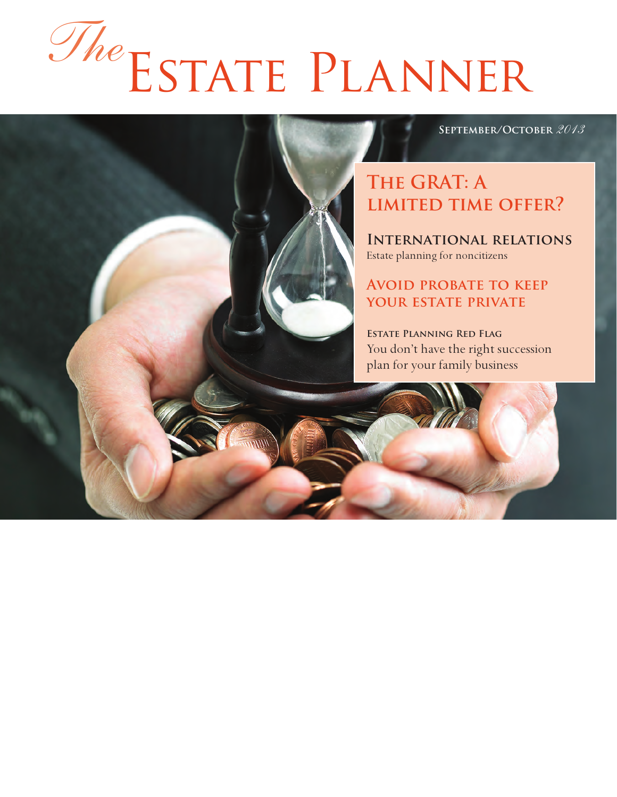# Estate Planner *The*

#### **September/October** *2013*

## **The GRAT: A limited time offer?**

**International relations** Estate planning for noncitizens

#### **Avoid probate to keep your estate private**

**Estate Planning Red Flag** You don't have the right succession plan for your family business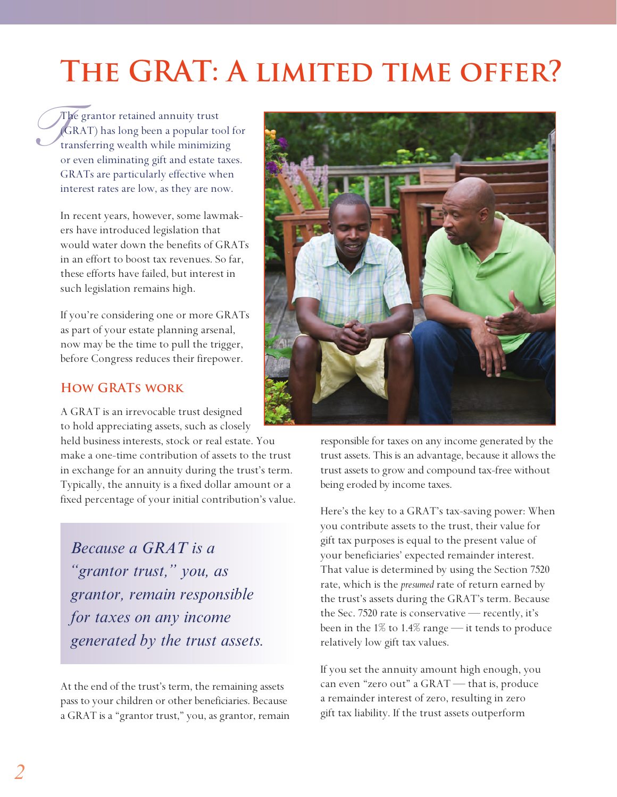# **The GRAT: A limited time offer?**

*G*<br>*G*<br>tra The grantor retained annuity trust (GRAT) has long been a popular tool for transferring wealth while minimizing or even eliminating gift and estate taxes. GRATs are particularly effective when interest rates are low, as they are now.

> In recent years, however, some lawmakers have introduced legislation that would water down the benefits of GRATs in an effort to boost tax revenues. So far, these efforts have failed, but interest in such legislation remains high.

> If you're considering one or more GRATs as part of your estate planning arsenal, now may be the time to pull the trigger, before Congress reduces their firepower.

#### **How GRATs work**

A GRAT is an irrevocable trust designed to hold appreciating assets, such as closely

held business interests, stock or real estate. You make a one-time contribution of assets to the trust in exchange for an annuity during the trust's term. Typically, the annuity is a fixed dollar amount or a fixed percentage of your initial contribution's value.

*Because a GRAT is a "grantor trust," you, as grantor, remain responsible for taxes on any income generated by the trust assets.*

At the end of the trust's term, the remaining assets pass to your children or other beneficiaries. Because a GRAT is a "grantor trust," you, as grantor, remain



responsible for taxes on any income generated by the trust assets. This is an advantage, because it allows the trust assets to grow and compound tax-free without being eroded by income taxes.

Here's the key to a GRAT's tax-saving power: When you contribute assets to the trust, their value for gift tax purposes is equal to the present value of your beneficiaries' expected remainder interest. That value is determined by using the Section 7520 rate, which is the *presumed* rate of return earned by the trust's assets during the GRAT's term. Because the Sec. 7520 rate is conservative — recently, it's been in the 1% to 1.4% range — it tends to produce relatively low gift tax values.

If you set the annuity amount high enough, you can even "zero out" a GRAT — that is, produce a remainder interest of zero, resulting in zero gift tax liability. If the trust assets outperform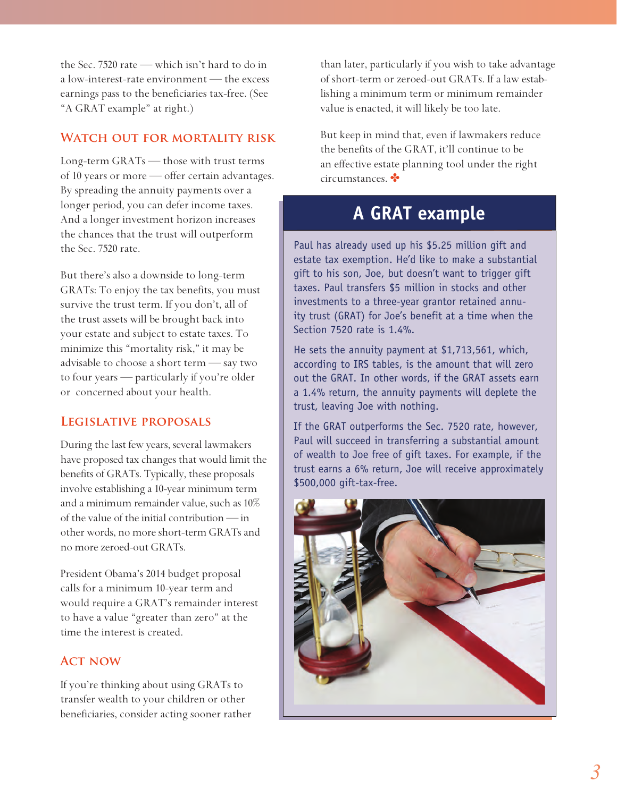the Sec. 7520 rate — which isn't hard to do in a low-interest-rate environment — the excess earnings pass to the beneficiaries tax-free. (See "A GRAT example" at right.)

#### **Watch out for mortality risk**

Long-term GRATs — those with trust terms of 10 years or more — offer certain advantages. By spreading the annuity payments over a longer period, you can defer income taxes. And a longer investment horizon increases the chances that the trust will outperform the Sec. 7520 rate.

But there's also a downside to long-term GRATs: To enjoy the tax benefits, you must survive the trust term. If you don't, all of the trust assets will be brought back into your estate and subject to estate taxes. To minimize this "mortality risk," it may be advisable to choose a short term — say two to four years — particularly if you're older or concerned about your health.

#### **Legislative proposals**

During the last few years, several lawmakers have proposed tax changes that would limit the benefits of GRATs. Typically, these proposals involve establishing a 10-year minimum term and a minimum remainder value, such as 10% of the value of the initial contribution — in other words, no more short-term GRATs and no more zeroed-out GRATs.

President Obama's 2014 budget proposal calls for a minimum 10-year term and would require a GRAT's remainder interest to have a value "greater than zero" at the time the interest is created.

#### **Act now**

If you're thinking about using GRATs to transfer wealth to your children or other beneficiaries, consider acting sooner rather than later, particularly if you wish to take advantage of short-term or zeroed-out GRATs. If a law establishing a minimum term or minimum remainder value is enacted, it will likely be too late.

But keep in mind that, even if lawmakers reduce the benefits of the GRAT, it'll continue to be an effective estate planning tool under the right circumstances.

### **A GRAT example**

Paul has already used up his \$5.25 million gift and estate tax exemption. He'd like to make a substantial gift to his son, Joe, but doesn't want to trigger gift taxes. Paul transfers \$5 million in stocks and other investments to a three-year grantor retained annuity trust (GRAT) for Joe's benefit at a time when the Section 7520 rate is 1.4%.

He sets the annuity payment at \$1,713,561, which, according to IRS tables, is the amount that will zero out the GRAT. In other words, if the GRAT assets earn a 1.4% return, the annuity payments will deplete the trust, leaving Joe with nothing.

If the GRAT outperforms the Sec. 7520 rate, however, Paul will succeed in transferring a substantial amount of wealth to Joe free of gift taxes. For example, if the trust earns a 6% return, Joe will receive approximately \$500,000 gift-tax-free.

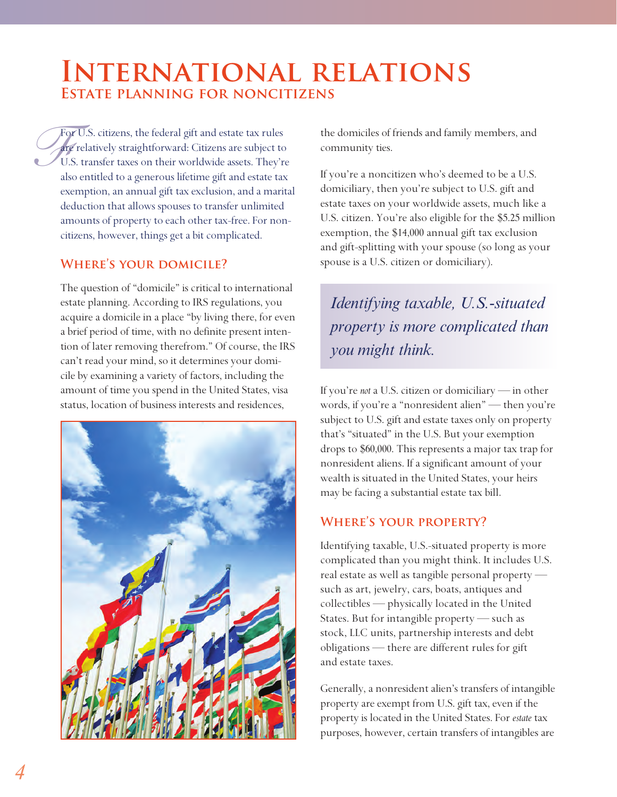## **International relations Estate planning for noncitizens**

*Fo*<br>*Fo*<br>U. als For U.S. citizens, the federal gift and estate tax rules are relatively straightforward: Citizens are subject to U.S. transfer taxes on their worldwide assets. They're also entitled to a generous lifetime gift and estate tax exemption, an annual gift tax exclusion, and a marital deduction that allows spouses to transfer unlimited amounts of property to each other tax-free. For noncitizens, however, things get a bit complicated.

#### WHERE'S YOUR DOMICILE?

The question of "domicile" is critical to international estate planning. According to IRS regulations, you acquire a domicile in a place "by living there, for even a brief period of time, with no definite present intention of later removing therefrom." Of course, the IRS can't read your mind, so it determines your domicile by examining a variety of factors, including the amount of time you spend in the United States, visa status, location of business interests and residences,



the domiciles of friends and family members, and community ties.

If you're a noncitizen who's deemed to be a U.S. domiciliary, then you're subject to U.S. gift and estate taxes on your worldwide assets, much like a U.S. citizen. You're also eligible for the \$5.25 million exemption, the \$14,000 annual gift tax exclusion and gift-splitting with your spouse (so long as your spouse is a U.S. citizen or domiciliary).

*Identifying taxable, U.S.-situated property is more complicated than you might think.*

If you're *not* a U.S. citizen or domiciliary — in other words, if you're a "nonresident alien" — then you're subject to U.S. gift and estate taxes only on property that's "situated" in the U.S. But your exemption drops to \$60,000. This represents a major tax trap for nonresident aliens. If a significant amount of your wealth is situated in the United States, your heirs may be facing a substantial estate tax bill.

#### **Where's your property?**

Identifying taxable, U.S.-situated property is more complicated than you might think. It includes U.S. real estate as well as tangible personal property such as art, jewelry, cars, boats, antiques and collectibles — physically located in the United States. But for intangible property — such as stock, LLC units, partnership interests and debt obligations — there are different rules for gift and estate taxes.

Generally, a nonresident alien's transfers of intangible property are exempt from U.S. gift tax, even if the property is located in the United States. For *estate* tax purposes, however, certain transfers of intangibles are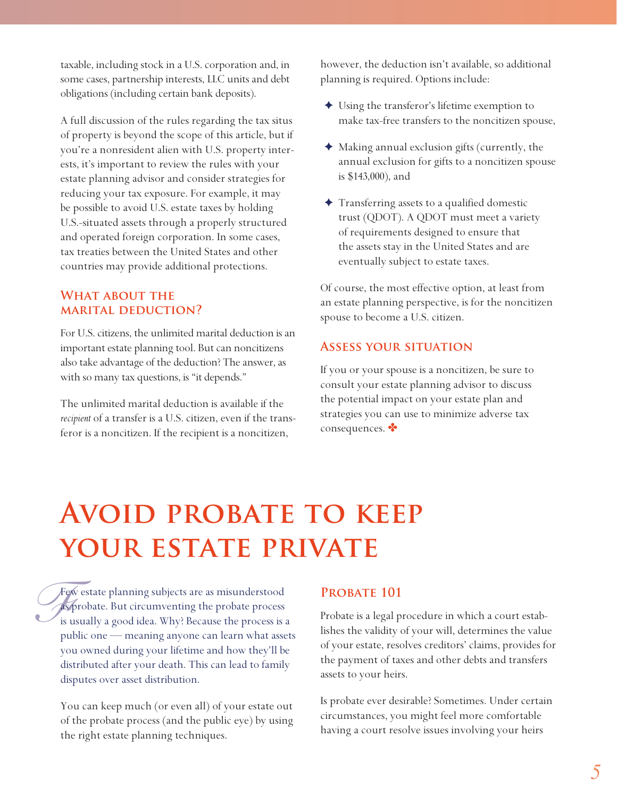taxable, including stock in a U.S. corporation and, in some cases, partnership interests, LLC units and debt obligations (including certain bank deposits).

A full discussion of the rules regarding the tax situs of property is beyond the scope of this article, but if you're a nonresident alien with U.S. property interests, it's important to review the rules with your estate planning advisor and consider strategies for reducing your tax exposure. For example, it may be possible to avoid U.S. estate taxes by holding U.S.-situated assets through a properly structured and operated foreign corporation. In some cases, tax treaties between the United States and other countries may provide additional protections.

#### WHAT ABOUT THE **marital deduction?**

For U.S. citizens, the unlimited marital deduction is an important estate planning tool. But can noncitizens also take advantage of the deduction? The answer, as with so many tax questions, is "it depends."

The unlimited marital deduction is available if the *recipient* of a transfer is a U.S. citizen, even if the transferor is a noncitizen. If the recipient is a noncitizen,

however, the deduction isn't available, so additional planning is required. Options include:

- ✦ Using the transferor's lifetime exemption to make tax-free transfers to the noncitizen spouse,
- ✦ Making annual exclusion gifts (currently, the annual exclusion for gifts to a noncitizen spouse is \$143,000), and
- ✦ Transferring assets to a qualified domestic trust (QDOT). A QDOT must meet a variety of requirements designed to ensure that the assets stay in the United States and are eventually subject to estate taxes.

Of course, the most effective option, at least from an estate planning perspective, is for the noncitizen spouse to become a U.S. citizen.

#### **Assess your situation**

If you or your spouse is a noncitizen, be sure to consult your estate planning advisor to discuss the potential impact on your estate plan and strategies you can use to minimize adverse tax consequences.

# **AVOID PROBATE TO KEEP** YOUR ESTATE PRIVATE

Fe<br>*F*<br>is u Few estate planning subjects are as misunderstood as probate. But circumventing the probate process is usually a good idea. Why? Because the process is a public one — meaning anyone can learn what assets you owned during your lifetime and how they'll be distributed after your death. This can lead to family disputes over asset distribution.

You can keep much (or even all) of your estate out of the probate process (and the public eye) by using the right estate planning techniques.

#### PROBATE 101

Probate is a legal procedure in which a court establishes the validity of your will, determines the value of your estate, resolves creditors' claims, provides for the payment of taxes and other debts and transfers assets to your heirs.

Is probate ever desirable? Sometimes. Under certain circumstances, you might feel more comfortable having a court resolve issues involving your heirs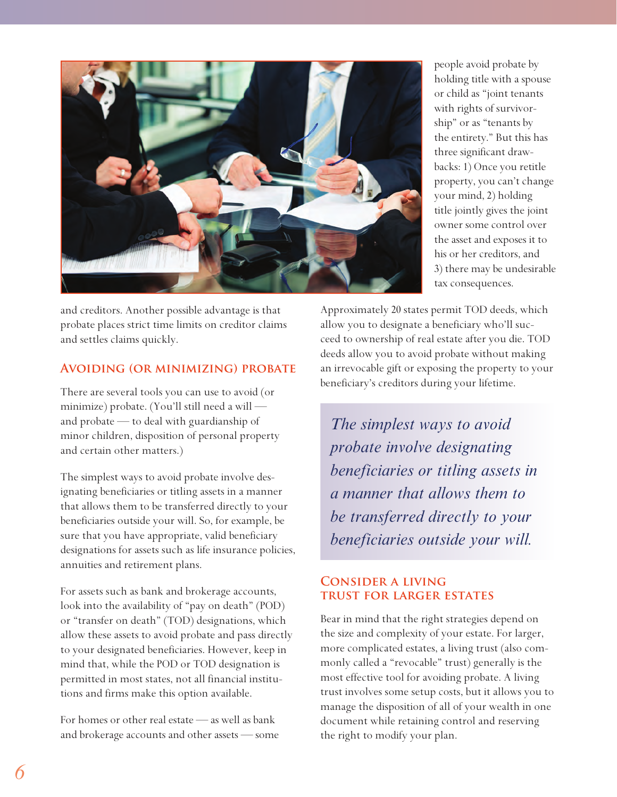

and creditors. Another possible advantage is that probate places strict time limits on creditor claims and settles claims quickly.

#### **Avoiding (or minimizing) probate**

There are several tools you can use to avoid (or minimize) probate. (You'll still need a will and probate — to deal with guardianship of minor children, disposition of personal property and certain other matters.)

The simplest ways to avoid probate involve designating beneficiaries or titling assets in a manner that allows them to be transferred directly to your beneficiaries outside your will. So, for example, be sure that you have appropriate, valid beneficiary designations for assets such as life insurance policies, annuities and retirement plans.

For assets such as bank and brokerage accounts, look into the availability of "pay on death" (POD) or "transfer on death" (TOD) designations, which allow these assets to avoid probate and pass directly to your designated beneficiaries. However, keep in mind that, while the POD or TOD designation is permitted in most states, not all financial institutions and firms make this option available.

For homes or other real estate  $-$  as well as bank and brokerage accounts and other assets — some people avoid probate by holding title with a spouse or child as "joint tenants with rights of survivorship" or as "tenants by the entirety." But this has three significant drawbacks: 1) Once you retitle property, you can't change your mind, 2) holding title jointly gives the joint owner some control over the asset and exposes it to his or her creditors, and 3) there may be undesirable tax consequences.

Approximately 20 states permit TOD deeds, which allow you to designate a beneficiary who'll succeed to ownership of real estate after you die. TOD deeds allow you to avoid probate without making an irrevocable gift or exposing the property to your beneficiary's creditors during your lifetime.

*The simplest ways to avoid probate involve designating beneficiaries or titling assets in a manner that allows them to be transferred directly to your beneficiaries outside your will.*

#### **Consider a living trust for larger estates**

Bear in mind that the right strategies depend on the size and complexity of your estate. For larger, more complicated estates, a living trust (also commonly called a "revocable" trust) generally is the most effective tool for avoiding probate. A living trust involves some setup costs, but it allows you to manage the disposition of all of your wealth in one document while retaining control and reserving the right to modify your plan.